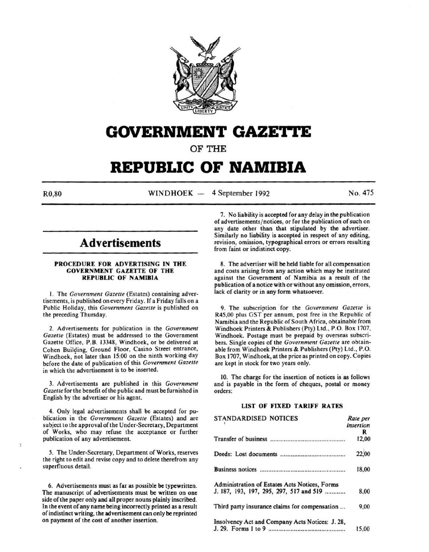

# **GOVERNMENT GAZETTE**

OF THE

# **REPUBLIC OF NAMIBIA**

R0,80 WINDHOEK - 4 September 1992 No. 475

# **Advertisements**

#### PROCEDURE FOR ADVERTISING IN THE GOVERNMENT GAZETTE OF THE REPUBLIC OF NAMIBIA

I. The *Government Gazelle* (Estates) containing advertisements, is published on every Friday. If a Friday falls on a Public Holiday, this *Government Gazette* is published on the preceding Thursday.

2. Advertisements for publication in the *Government Gazette* (Estates) must be addressed to the Government Gazette Office, P.B. 13348, Windhoek, or be delivered at Cohen Building, Ground Floor, Casino Street entrance, Windhoek, not later than 15:00 on the ninth working day before the date of publication of this *Government Gazette*  in which the advertisement is to be inserted.

3. Advertisements are published in this *Government Gazette* for the benefit of the public and must be furnished in English by the advertiser or his agent.

4. Only legal advertisements shall be accepted for publication in the *Government Gazette* (Estates) and are subject to the approval of the Under-Secretary, Department of Works, who may refuse the acceptance or further publication of any advertisement.

*5.* The Under-Secretary, Department of Works, reserves the right to edit and revise copy and to delete therefrom any superfluous detail.

6. Advertisements must as far as possible be typewritten. The manuscript of advertisements must be written on one side of the paper only and all proper nouns plainly inscribed. In the event of any name being incorrectly printed as a result of indistinct writing, the advertisement can only be reprinted on payment of the cost of another insertion.

7. No liability is accepted for any delay in the publication of advertisements/ notices, or for the publication of such on any date other than that stipulated by the advertiser. Similarly no liability is accepted in respect of any editing, revision, omission, typographical errors or errors resulting from faint or indistinct copy.

8. The advertiser will be held liable for all compensation and costs arising from any action which may be instituted against the Government of Namibia as a result of the publication of a notice with or without any omission, errors, lack of clarity or in any form whatsoever.

9. The subscription for the *Government Gazelle* is R45,00 plus GST per annum, post free in the Republic of Namibia and the Republic of South Africa, obtainable from Windhoek Printers & Publishers (Pty) Ltd., P.O. Box 1707, Windhoek. Postage must be prepaid by overseas subscribers. Single copies of the *Government Gazette* are obtainable from Windhoek Printers & Publishers (Pty) Ltd., P.O. Box 1707, Windhoek, at the price as printed on copy. Copies are kept in stock for two years only.

10. The charge for the insertion of notices is as follows and is payable in the form of cheques, postal or money orders:

#### LIST OF FIXED TARIFF RATES

| <b>STANDARDISED NOTICES</b>                     | Rate per<br>insertion |
|-------------------------------------------------|-----------------------|
|                                                 | R                     |
|                                                 | 12,00                 |
|                                                 | 22,00                 |
|                                                 | 18,00                 |
| Administration of Estates Acts Notices, Forms   |                       |
| J. 187, 193, 197, 295, 297, 517 and 519         | 8,00                  |
| Third party insurance claims for compensation   | 9,00                  |
| Insolvency Act and Company Acts Notices: J. 28, |                       |
|                                                 | 15,00                 |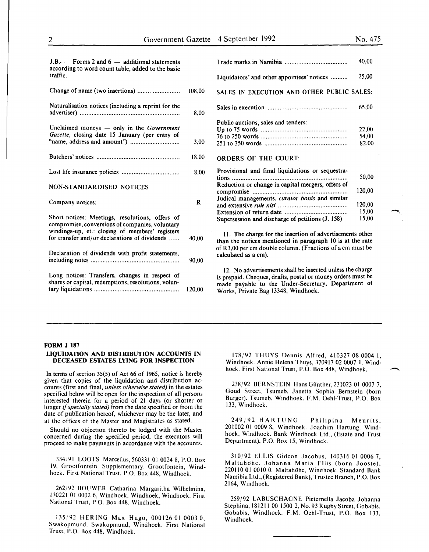22,00 54,00 82,00

50,00 120,00

120,00 15,00 15,00

| $J.B.$ – Forms 2 and 6 – additional statements<br>according to word count table, added to the basic |             |                                                                                                                       | 40.00  |
|-----------------------------------------------------------------------------------------------------|-------------|-----------------------------------------------------------------------------------------------------------------------|--------|
| traffic.                                                                                            |             | Liquidators' and other appointees' notices                                                                            | 25,00  |
| Change of name (two insertions)                                                                     | 108,00      | SALES IN EXECUTION AND OTHER PUBLIC SALES:                                                                            |        |
| Naturalisation notices (including a reprint for the                                                 | 8,00        |                                                                                                                       | 65,00  |
|                                                                                                     |             | Public auctions, sales and tenders:                                                                                   |        |
| Unclaimed moneys $-$ only in the <i>Government</i>                                                  |             |                                                                                                                       | 22,00  |
| Gazette, closing date 15 January (per entry of                                                      |             |                                                                                                                       | 54,00  |
|                                                                                                     | 3,00        |                                                                                                                       | 82,00  |
|                                                                                                     | 18,00       | <b>ORDERS OF THE COURT:</b>                                                                                           |        |
|                                                                                                     | 8.00        | Provisional and final liquidations or sequestra-                                                                      | 50,00  |
|                                                                                                     |             | Reduction or change in capital mergers, offers of                                                                     |        |
| NON-STANDARDISED NOTICES                                                                            |             |                                                                                                                       | 120,00 |
| Company notices:                                                                                    | $\mathbf R$ | Judical managements, curator bonis and similar                                                                        | 120,00 |
|                                                                                                     |             |                                                                                                                       | 15,00  |
| Short notices: Meetings, resolutions, offers of<br>compromise, conversions of companies, voluntary  |             | Supersession and discharge of petitions (J. 158)                                                                      | 15.00  |
| windings-up, et.: closing of members' registers<br>for transfer and/or declarations of dividends    | 40,00       | 11. The charge for the insertion of advertisements other<br>than the notices mentioned in paragraph 10 is at the rate |        |
|                                                                                                     |             | of R3,00 per cm double column. (Fractions of a cm must be                                                             |        |
| Declaration of dividends with profit statements,                                                    |             | calculated as a cm).                                                                                                  |        |
|                                                                                                     | 90.00       |                                                                                                                       |        |
|                                                                                                     |             | 12. No advertisements shall be inserted unless the charge                                                             |        |
| Long notices: Transfers, changes in respect of                                                      |             | is prepaid. Cheques, drafts, postal or money orders must be                                                           |        |
| shares or capital, redemptions, resolutions, volun-                                                 | 120,00      | made payable to the Under-Secretary, Department of                                                                    |        |
|                                                                                                     |             | Works, Private Bag 13348, Windhoek.                                                                                   |        |

#### FORM J 187

#### LIQUIDATION AND DISTRIBUTION ACCOUNTS IN DECEASED ESTATES LYING FOR INSPECTION

In terms of section 35(5) of Act 66 of 1965, notice is hereby given that copies of the liquidation and distribution accounts (first and final, *unless otherwise stated)* in the estates specified below will be open for the inspection of all persons interested therein for a period of 21 days (or shorter or longer if *specially stated)* from the date specified or from the date of publication hereof, whichever may be the later, and at the offices of the Master and Magistrates as stated.

Should no objection thereto be lodged with the Master concerned during the specified period, the executors will proceed to make payments in accordance with the accounts.

334/91 LOOTS Marcellus, 560331 01 0024 8, P.O. Box 19, Grootfontein. Supplementary. Grootfontein, Windhoek. First National Trust, P.O. Box 448, Windhoek.

262/92 BOUWER Catharina Margaritha Wilhelmina, 170221 01 0002 6, Windhoek. Windhoek, Windhoek. First National Trust, P.O. Box 448, Windhoek.

135/92 HERING Max Hugo, 000126 01 0003 0, Swakopmund. Swakopmund, Windhoek. First National Trust, P.O. Box 448, Windhoek.

178/92 THUYS Dennis Alfred, 410327 08 0004 I, Windhoek. Annie Helena Thuys, 370917 02 0007 I. Windhoek. First National Trust, P.O. Box 448, Windhoek.

238/92 BERNSTEIN Hans Günther, 231023 01 0007 7, Goud Street, Tsumeb. Janetta Sophia Bernstein (born Burger). Tsumeb, Windhoek. F.M. Oehl-Trust, P.O. Box 133, Windhoek.

249/92 HARTUNG Philipina Meurits, 201002 01 0009 8, Windhoek. Joachim Hartung. Windhoek, Windhoek. Bank Windhoek Ltd., (Estate and Trust Department), P.O. Box 15, Windhoek.

310/92 ELLIS Gideon Jacobus, 140316 01 0006 7, Maltahohe. Johanna Maria Ellis (born Jooste), 220110 01 0010 0. Maltahohe, Windhoek. Standard Bank Namibia Ltd., (Registered Bank), Trustee Branch, P.O. Box 2164, Windhoek.

259/92 LABUSCHAGNE Pieternella Jacoba Johanna Stephina, 181211 00 1500 2, No. 93 Rugby Street, Gobabis. Gobabis, Windhoek. F.M. Oehl-Trust, P.O. Box 133, Windhoek.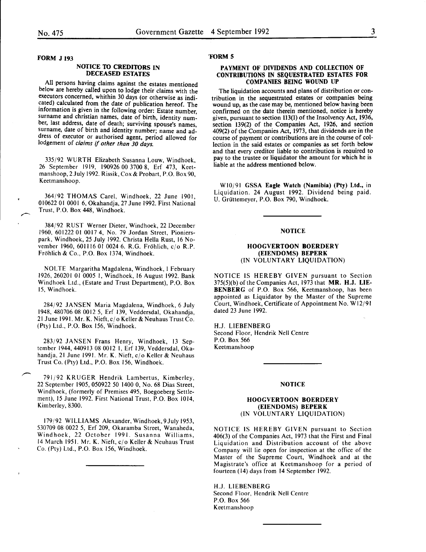#### NOTICE TO CREDITORS IN DECEASED ESTATES

All persons having claims against the estates mentioned below are hereby called upon to lodge their claims with the executors concerned, whithin 30 days (or otherwise as indicated) calculated from the date of publication hereof. The information is given in the following order: Estate number surname and christian names, date of birth, identity number, last address, date of death; surviving spouse's names, surname, date of birth and identity number; name and address of executor or authorised agent, period allowed for lodgement of *claims* if *other than 30 days.* 

335/92 WURTH Elizabeth Susanna Louw, Windhoek, 26 September 1919, 190926 00 3700 8, Erf 473, Keetmanshoop, 2 July 1992. Rissik, Cox & Probart, P.O. Box 90, Keetmanshoop.

364/92 THOMAS Carel, Windhoek, 22 June 1901, 010622 01 0001 6, Okahandja, 27 June 1992. First National Trust, P.O. Box 448, Windhoek.

384/92 RUST Werner Dieter, Windhoek, 22 December 1960, 601222 01 0017 4, No. 79 Jordan Street, Pionierspark, Windhoek, 25 July 1992. Christa Hella Rust, 16 November 1960, 601116 01 0024 6. R.G. Frohlich, cjo R.P. Frohlich & Co., P.O. Box 1374, Windhoek.

NOLTE Margaritha Magdalena, Windhoek, I February 1926, 260201 01 0005 I, Windhoek, 16 August 1992. Bank Windhoek Ltd., (Estate and Trust Department), P.O. Box 15, Windhoek.

284/92 JANSEN Maria Magdalena, Windhoek, 6 July 1948, 480706 08 0012 5, Erf 139, Veddersdal, Okahandja, 21 June 1991. Mr. K. Nieft,  $c/\sigma$  Keller & Neuhaus Trust Co. (Pty) Ltd., P.O. Box 156, Windhoek.

283/92 JANSEN Frans Henry, Windhoek, 13 September 1944,440913 08 0012 I, Erf 139, Veddersdal, Okahandja, 21 June 1991. Mr. K. Nieft, c/o Keller & Neuhaus Trust Co. (Pty) Ltd., P.O. Box 156, Windhoek.

791/92 KRUGER Hendrik Lambertus, Kimberley, 22 September 1905, 050922 50 1400 0, No. 68 Dias Street, Windhoek, (formerly of Premises 495, Boegoeberg Settlement), 15 June 1992. First National Trust, P.O. Box 1014, Kimberley, 8300.

179/92 WILLIAMS Alexander, Windhoek,9July 1953, 530709 08 0022 5, Erf 209, Okaramba Street, Wanaheda, Windhoek, 22 October 1991. Susanna Williams, 14 March 1951. Mr. K. Nieft, cj o Keller & Neuhaus Trust Co. (Pty) Ltd., P.O. Box 156, Windhoek.

#### 'FORM 5

#### PAYMENT OF DIVIDENDS AND COLLECTION OF CONTRIBUTIONS IN SEQUESTRATED ESTATES FOR COMPANIES BEING WOUND UP

The liquidation accounts and plans of distribution or contribution in the sequestrated estates or companies being wound up, as the case may be, mentioned below having been confirmed on the date therein mentioned, notice is hereby given, pursuant to section 113(1) of the Insolvency Act, 1936, section 139(2) of the Companies Act, 1926, and section 409(2) of the Companies Act, 1973, that dividends are in the course of payment or contributions are in the course of collection in the said estates or companies as set forth below and that every creditor liable to contribution is reauired to pay to the trustee or liquidator the amount for which he is liable at the address mentioned below.

WI0/91 GSSA Eagle Watch (Namibia) (Pty) Ltd., in Liquidation. 24 August 1992. Dividend being paid. U. Griittemeyer, P.O. Box 790, Windhoek.

#### **NOTICE**

#### HOOGVERTOON BOERDERY (EIENDOMS) BEPERK (IN VOLUNTARY LIQUIDATION)

NOTICE IS HEREBY GIVEN pursuant to Section  $375(5)(b)$  of the Companies Act, 1973 that MR. H.J. LIE-BENBERG of P.O. Box 566, Keetmanshoop, has been appointed as Liquidator by the Master of the Supreme Court, Windhoek, Certificate of Appointment No. W 12/91 dated 23 June 1992.

H.J. LIESENBERG Second Floor, Hendrik Nell Centre P.O. Box 566 Keetmanshoop

#### NOTICE

#### HOOGVERTOON BOERDERY (EIENDOMS) BEPERK (IN VOLUNTARY LIQUIDATION)

NOTICE IS HEREBY GIVEN pursuant to Section 406(3) of the Companies Act, 1973 that the First and Final Liquidation and Distribution account of the above Company will lie open for inspection at the office of the Master of the Supreme Court, Windhoek and at the Magistrate's office at Keetmanshoop for a period of fourteen (14) days from 14 September 1992.

H.J. LIESENBERG Second Floor, Hendrik Nell Centre P.O. Box 566 Keetmanshoop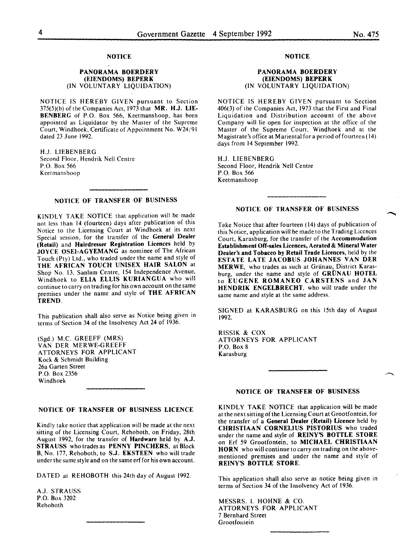#### **NOTICE**

#### PANORAMA BOERDERY (EIENDOMS) BEPERK (IN VOLUNTARY LIQUIDATION)

NOTICE IS HEREBY GIVEN pursuant to Section  $375(5)(b)$  of the Companies Act, 1973 that MR. H.J. LIE-SENBERG of P.O. Box 566, Keetmanshoop, has been appointed as Liquidator by the Master of the Supreme Court, Windhoek, Certificate of Appointment No. W24/91 dated 23 June 1992.

H.J. LIESENBERG Second Floor, Hendrik Nell Centre P.O. Box 566 Keetmanshoop

#### NOTICE OF TRANSFER OF BUSINESS

KINDLY TAKE NOTICE that application will be made not less than 14 (fourteen) days after publication of this Notice to the Licensing Court at Windhoek at its next Special session, for the transfer of the General Dealer (Retail) and Hairdresser Registration Licences held by JOYCE OSEI-AGYEMANG as nominee of The African Touch (Pty) Ltd., who traded under the name and style of THE AFRICAN TOUCH UNISEX HAIR SALON at Shop No. 13, Sanlam Centre, 154 Independence Avenue, Windhoek to ELIA ELLIS KURIANGUA who will continue to carry on trading for his own account on the same premises under the name and style of THE AFRICAN TREND.

This publication shall also serve as Notice being given in terms of Section 34 of the Insolvency Act 24 of 1936.

(Sgd.) M.C. GREEFF (MRS) VAN DER MERWE-GREEFF ATTORNEYS FOR APPLICANT Kock & Schmidt Building 26a Garten Street P.O. Box 2356 Windhoek

#### NOTICE OF TRANSFER OF BUSINESS LICENCE

Kindly take notice that application will be made at the next sitting of the Licensing Court, Rehoboth, on Friday, 28th August 1992, for the transfer of Hardware held by A.J. STRAUSS who trades as PENNY PINCHERS, at Block B, No. 177, Rehoboth, to S.J. EKSTEEN who will trade under the same style and on the same erf for his own account.

DATED at REHOBOTH this 24th day of August 1992.

A.J. STRAUSS P.O. Box 3202 Rehoboth

#### NOTICE

#### PANORAMA BOERDERY (EIENDOMS) BEPERK (IN VOLUNTARY LIQUIDATION)

NOTICE IS HEREBY GIVEN pursuant to Section 406(3) of the Companies Act, 1973 that the First and Final Liquidation and Distribution account of the above Company will lie open for inspection at the office of the Master of the Supreme Court, Windhoek and at the Magistrate's office at Mariental for a period of fourteen ( 14) days from 14 September 1992.

H.J. LIESENBERG Second Floor, Hendrik Nell Centre P.O. Box 566 Keetmanshoop

#### NOTICE OF TRANSFER OF BUSINESS

Take Notice that after fourteen ( 14) days of publication of this Notice, application will be made to the Trading Licences Court, Karasburg, for the transfer of the Accommodation Establishment Off-sales Licences, Aerated & Mineral Water Dealer's and Tobacco by Retail Trade Licences, held by the ESTATE LATE JACOBUS JOHANNES VAN DER MERWE, who trades as such at Grünau, District Karasburg, under the name and style of GRÜNAU HOTEL to EUGENE ROMANEO CARSTENS and JAN HENDRIK ENGELBRECHT, who will trade under the same name and style at the same address.

SIGNED at KARASBURG on this 15th day of August 1992.

RISSIK & COX ATTORNEYS FOR APPLICANT P.O. Box 8 Karasburg

#### NOTICE OF TRANSFER OF BUSINESS

KINDLY TAKE NOTICE that application will be made at the next sitting of the Licensing Court at Grootfontein, for the transfer of a General Dealer (Retail) Licence held by CHRISTIAAN CORNELIUS PISTORIUS who traded under the name and style of REINY'S BOTTLE STORE on Erf 59 Grootfontein, to MICHAEL CHRISTIAAN HORN who will continue to carry on trading on the abovementioned premises and under the name and style of REINY'S BOTTLE STORE.

This application shall also serve as notice being given in terms of Section 34 of the Insolvency Act of 1936.

MESSRS. I. HOHNE & CO. ATTORNEYS FOR APPLICANT 7 Bernhard Street Grootfontein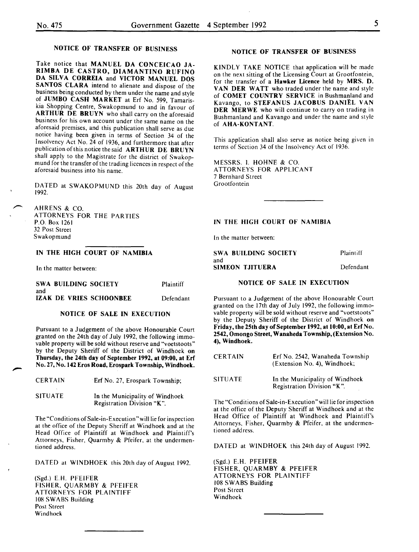#### NOTICE OF TRANSFER OF BUSINESS

Take notice that MANUEL DA CONCEICAO JA-RIMBA DE CASTRO, DIAMANTINO RUFINO DA SILVA CORREIA and VICTOR MANUEL DOS SANTOS CLARA intend to alienate and dispose of the business being conducted by them under the name and style of JUMBO CASH MARKET at Erf No. 599, Tamariskia Shopping Centre, Swakopmund to and in' favour of ARTHUR DE BRUYN who shall carry on the aforesaid business for his own account under the same name on the aforesaid premises, and this publication shall serve as due notice having been given in terms of Section 34 of the Insolvency Act No. 24 of 1936, and furthermore that after publication of this notice the said ARTHUR DE BRUYN shall apply to the Magistrate for the district of Swakopmund for the transfer of the trading licences in respect of the aforesatd business into his name.

DATED at SWAKOPMUND this 20th day of August 1992.

AHRENS & CO. ATTORNEYS FOR THE PARTIES P.O. Box 1261 32 Post Street Swakopmund

#### IN THE HIGH COURT OF NAMIBIA

In the matter between:

|     | SWA BUILDING SOCIETY |                         | Plaintiff |
|-----|----------------------|-------------------------|-----------|
| and |                      |                         |           |
|     |                      | IZAK DE VRIES SCHOONBEE | Defendant |

#### NOTICE OF SALE IN EXECUTION

Pursuant to a Judgement of the above Honourable Court granted on the 24th day of July 1992, the following immovable property will be sold without reserve and "voetstoots" by the Deputy Sheriff of the District of Windhoek on Thursday, the 24th day of September 1992, at 09:00, at Erf No. 27, No. 142 Eros Road, Erospark Township, Windhoek.

| <b>CERTAIN</b> | Erf No. 27, Erospark Township;                                |
|----------------|---------------------------------------------------------------|
| <b>SITUATE</b> | In the Municipality of Windhoek<br>Registration Division "K". |

The "Conditions of Sale-in-Execution" will lie for inspection at the office of the Deputy Sheriff at Windhoek and at the Head Office of Plaintiff at Windhoek and Plaintiff's Attorneys, Fisher, Quarmby & Pfeifer, at the undermentioned address.

DATED at WINDHOEK this 20th day of August 1992.

(Sgd.) E.H. PFEIFER FISHER, QUARMBY & PFEIFER ATTORNEYS FOR PLAINTIFF lOR SWABS Building Post Street Windhoek

#### NOTICE OF TRANSFER OF BUSINESS

KINDLY TAKE NOTICE that application will be made on the next sitting of the Licensing Court at Grootfontein, for the transfer of a Hawker Licence held by MRS. D. VAN DER WATT who traded under the name and style of COMET COUNTRY SERVICE in Bushmanland and Kavango, to STEFANUS JACOBUS DANIEL VAN DER MERWE who will continue to carry on trading in Bushmanland and Kavango and under the name and style of AHA-KONTANT.

This application shall also serve as notice being given in terms of Section 34 of the Insolvency Act of 1936.

MESSRS. I. HOHNE & CO. ATTORNEYS FOR APPLICANT 7 Bernhard Street Grootfontein

#### IN THE HIGH COURT OF NAMIBIA

In the matter between:

| SWA BUILDING SOCIETY | Plaintiff |
|----------------------|-----------|
| and                  |           |
| SIMEON TJITUERA      | Defendant |

#### NOTICE OF SALE IN EXECUTION

Pursuant to a Judgement of the above Honourable Court granted on the 17th day of July 1992, the following immovable property will be sold without reserve and "voetstoots" by the Deputy Sheriff of the District of Windhoek on Friday, the 25th day of September 1992, at 10:00, at Erf No. 2542, Omongo Street, Wanaheda Township, (Extension No. 4), Windhoek.

| <b>CERTAIN</b> | Erf No. 2542, Wanaheda Township<br>(Extension No. 4), Windhoek; |
|----------------|-----------------------------------------------------------------|
| <b>SITUATE</b> | In the Municipality of Windhoek<br>Registration Division "K".   |

The "Conditions of Sale-in-Execution" will lie for inspection at the office of the Deputy Sheriff at Windhoek and at the Head Office of Plaintiff at Windhoek and Plaintiff's Attorneys, Fisher, Quarmby & Pfeifer, at the undermentioned address.

DATED at WINDHOEK this 24th day of August 1992.

(Sgd.) E.H. PFEIFER FISHER, QUARMBY & PFEIFER ATTORNEYS FOR PLAINTIFF 108 SWABS Building Post Street Windhoek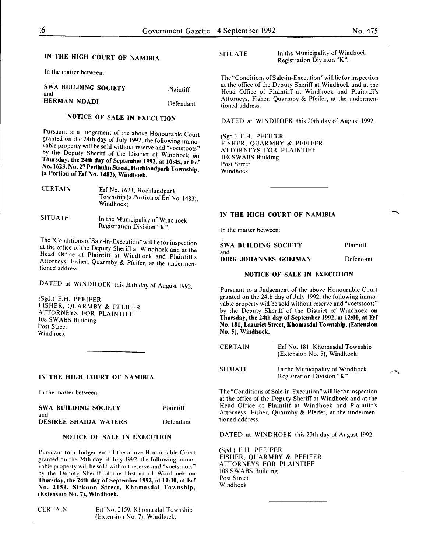## IN THE HIGH COURT OF NAMIBIA

In the matter between:

| SWA BUILDING SOCIETY<br>and | Plaintiff |
|-----------------------------|-----------|
| HERMAN NDADI                | Defendant |

# NOTICE bF SALE IN EXECUTION

Pursuant to a Judgement of the above Honourable Court granted on the 24th day of July 1992, the following immovable property will be sold without reserve and "voetstoots" by the Deputy Sheriff of the District of Windhoek on Thursday, the 24th day of September 1992, at 10:45, at Erf No. 1623, No. 27 Perlhuhn Street, Hochlandpark Township, (a Portion of Erf No. 1483), Windhoek.

| <b>CERTAIN</b> | Erf No. 1623, Hochlandpark<br>Township (a Portion of Erf No. 1483),<br>Windhoek: |
|----------------|----------------------------------------------------------------------------------|
|                |                                                                                  |

SITUATE In the Municipality of Windhoek Registration Division "K ".

The "Conditions of Sale-in-Execution" will lie for inspection at the office of the Deputy Sheriff at Windhoek and at the Head Office of Plaintiff at Windhoek and Plaintiff's Attorneys, Fisher, Quarmby & Pfeifer, at the undermentioned address.

DATED at WINDHOEK this 20th day of August 1992.

(Sgd.) E.H. PFEIFER FISHER, QUARMBY & PFEIFER ATTORNEYS FOR PLAINTIFF 108 SWABS Building Post Street Windhoek

#### IN THE HIGH COURT OF NAMIBIA

In the matter between:

| SWA BUILDING SOCIETY         | Plaintiff |
|------------------------------|-----------|
| and                          |           |
| <b>DESIREE SHAIDA WATERS</b> | Defendant |

#### NOTICE OF SALE IN EXECUTION

Pursuant to a Judgement of the above Honourable Court granted on the 24th day of July 1992, the following immovable property will be sold without reserve and "voetstoots" by the Deputy Sheriff of the District of Windhoek on Thursday, the 24th day of September 1992, at 11:30, at Erf No. 2159, Sirkoon Street, Khomasdal Township, (Extension No. 7), Windhoek.

CERTAIN Erf No. 2159, Khomasdal Township (Extension No. 7), Windhoek;

SITUATE In the Municipality of Windhoek Registration Division "K".

The "Conditions of Sale-in-Execution" will lie for inspection at the office of the Deputy Sheriff at Windhoek and at the Head Office of Plaintiff at Windhoek and Plaintiff's Attorneys, Fisher, Quarmby & Pfeifer, at the undermentioned address.

DATED at WINDHOEK this 20th day of August 1992.

(Sgd.) E.H. PFEIFER FISHER, QUARMBY & PFEIFER ATTORNEYS FOR PLAINTIFF 108 SWABS Building Post Street Windhoek

#### IN THE HIGH COURT OF NAMIBIA

In the matter between:

| SWA BUILDING SOCIETY  | Plaintiff |
|-----------------------|-----------|
| and                   |           |
| DIRK JOHANNES GOEIMAN | Defendant |

#### NOTICE OF SALE IN EXECUTION

Pursuant to a Judgement of the above Honourable Court granted on the 24th day of July 1992, the following immovable property will be sold without reserve and "voetstoots" by the Deputy Sheriff of the District of Windhoek on Thursday, the 24th day of September 1992, at 12:00, at Erf No. 181, Lazuriet Street, Khomasdal Township, (Extension No.5), Windhoek.

| <b>CERTAIN</b> | Erf No. 181, Khomasdal Township<br>(Extension No. 5), Windhoek; |
|----------------|-----------------------------------------------------------------|
| <b>SITUATE</b> | In the Municipality of Windhoek<br>Registration Division "K".   |

The "Conditions of Sale-in-Execution" will lie for inspection at the office of the Deputy Sheriff at Windhoek and at the Head Office of Plaintiff at Windhoek and Plaintiff's Attorneys, Fisher, Quarmby & Pfeifer, at the undermentioned address.

DATED at WINDHOEK this 20th day of August 1992.

(Sgd.) E.H. PFEIFER FISHER, QUARMBY & PFEIFER ATTORNEYS FOR PLAINTIFF 108 SWABS Building Post Street Windhoek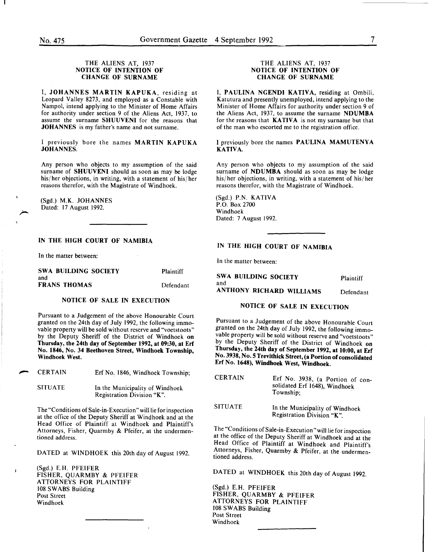#### THE ALIENS AT, 1937 NOTICE OF INTENTION OF CHANGE OF SURNAME

I, JOHANNES MARTIN KAPUKA, residing at Leopard Valley 8273, and employed as a Constable with Nampol, intend applying to the Minister of Home Affairs for authority under section 9 of the Aliens Act, 1937, to assume the surname SHUUVENI for the reasons that JOHANNES is my father's name and not surname.

I previously bore the names MARTIN KAPUKA JOHANNES.

Any person who objects to my assumption of the said surname of SHUUVENI should as soon as may be lodge his/ her objections, in writing, with a statement of his/ her reasons therefor, with the Magistrate of Windhoek.

(Sgd.) M.K. JOHANNES Dated: 17 August 1992.

#### IN THE HIGH COURT OF NAMIBIA

In the matter between:

SWA BUILDING SOCIETY and FRANS THOMAS **Plaintiff** Defendant

#### NOTICE OF SALE IN EXECUTION

Pursuant to a Judgement of the above Honourable Court granted on the 24th day of July 1992, the following immovable property will be sold without reserve and "voetstoots" by the Deputy Sheriff of the District of Windhoek on Thursday, the 24th day of September 1992, at 09:30, at Erf No. 1846, No. 34 Beethoven Street, Windhoek Township, Windhoek West.

**CERTAIN** Erf No, 1846, Windhoek Township;

SITUATE In the Municipality of Windhoek Registration Division "K".

The "Conditions of Sale-in-Execution "will lie for inspection at the office of the Deputy Sheriff at Windhoek and at the Head Office of Plaintiff at Windhoek and Plaintiff's Attorneys, Fisher, Quarmby & Pfeifer, at the undermentioned address.

DATED at WINDHOEK this 20th day of August 1992.

(Sgd.) E.H. PFEIFER FISHER, QUARMBY & PFEIFER ATTORNEYS FOR PLAINTIFF 108 SWABS Building Post Street Windhoek

#### THE ALIENS AT, 1937 NOTICE OF INTENTION OF CHANGE OF SURNAME

I, PAULINA NGENDI KATIVA, residing at Ombili, Katutura and presently unemployed, intend applying to the Minister of Home Affairs for authority under section 9 of the Aliens Act, 1937, to assume the surname NDUMBA for the reasons that  $KATIVA$  is not my surname but that of the man who escorted me to the registration office.

I previously bore the names PAULINA MAMUTENYA KATIVA.

Any person who objects to my assumption of the said surname of NDUMBA should as soon as may be lodge his/ her objections, in writing, with a statement of his/ her reasons therefor, with the Magistrate of Windhoek.

(Sgd.) P.N. KATIVA P.O. Box 2700 Windhoek Dated: 7 August 1992.

## IN THE HIGH COURT OF NAMIBIA

In the matter between:

| SWA BUILDING SOCIETY<br>and | Plaintiff |
|-----------------------------|-----------|
| ANTHONY RICHARD WILLIAMS    | Defendant |

## NOTICE OF SALE IN EXECUTION

Pursuant to a Judgement of the above Honourable Court granted on the 24th day of July 1992, the following immovable property will be sold without reserve and "voetstoots" by the Deputy Sheriff of the District of Windhoek on Thursday, the 24th day of September 1992, at 10:00, at Erf No. 3938, No.5 Trevithick Street, (a Portion of consolidated Erf No. 1648), Windhoek West, Windhoek.

| <b>CERTAIN</b> | Erf No. 3938, (a Portion of con-<br>solidated Erf 1648), Windhoek<br>Township: |
|----------------|--------------------------------------------------------------------------------|
| <b>SITUATE</b> | In the Municipality of Windhoek                                                |

Registration Division "K".

The "Conditions of Sale-in-Execution" will lie for inspection at the office of the Deputy Sheriff at Windhoek and at the Head Office of Plaintiff at Windhoek and Plaintiff's Attorneys, Fisher, Quarmby & Pfeifer, at the undermentioned address.

DATED at WINDHOEK this 20th day of August 1992.

(Sgd.) E.H. PFEIFER FISHER, QUARMBY & PFEIFER ATTORNEYS FOR PLAINTIFF 108 SWABS Building Post Street Windhoek